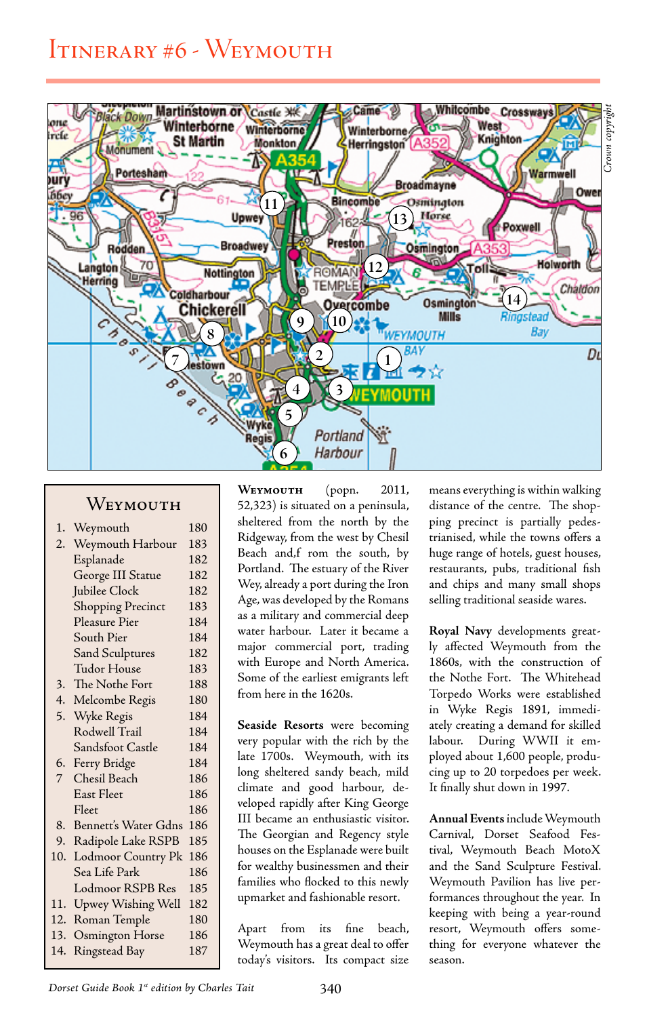## Itinerary #6 - Weymouth



## WEYMOUTH

| 1.  | Weymouth                  | 180 |
|-----|---------------------------|-----|
| 2.  | Weymouth Harbour          | 183 |
|     | Esplanade                 | 182 |
|     | George III Statue         | 182 |
|     | Jubilee Clock             | 182 |
|     | <b>Shopping Precinct</b>  | 183 |
|     | Pleasure Pier             | 184 |
|     | South Pier                | 184 |
|     | Sand Sculptures           | 182 |
|     | Tudor House               | 183 |
| 3.  | The Nothe Fort            | 188 |
| 4.  | Melcombe Regis            | 180 |
| 5.  | Wyke Regis                | 184 |
|     | Rodwell Trail             | 184 |
|     | Sandsfoot Castle          | 184 |
| 6.  | Ferry Bridge              | 184 |
| 7   | Chesil Beach              | 186 |
|     | East Fleet                | 186 |
|     | Fleet                     | 186 |
| 8.  | Bennett's Water Gdns      | 186 |
| 9.  | Radipole Lake RSPB        | 185 |
| 10. | <b>Lodmoor Country Pk</b> | 186 |
|     | Sea Life Park             | 186 |
|     | Lodmoor RSPB Res          | 185 |
| 11. | Upwey Wishing Well        | 182 |
| 12. | Roman Temple              | 180 |
| 13. | Osmington Horse           | 186 |
| 14. | Ringstead Bay             | 187 |
|     |                           |     |

**Weymouth** (popn. 2011, 52,323) is situated on a peninsula, sheltered from the north by the Ridgeway, from the west by Chesil Beach and,f rom the south, by Portland. The estuary of the River Wey, already a port during the Iron Age, was developed by the Romans as a military and commercial deep water harbour. Later it became a major commercial port, trading with Europe and North America. Some of the earliest emigrants left from here in the 1620s.

**Seaside Resorts** were becoming very popular with the rich by the late 1700s. Weymouth, with its long sheltered sandy beach, mild climate and good harbour, developed rapidly after King George III became an enthusiastic visitor. The Georgian and Regency style houses on the Esplanade were built for wealthy businessmen and their families who flocked to this newly upmarket and fashionable resort.

Apart from its fine beach, Weymouth has a great deal to offer today's visitors. Its compact size means everything is within walking distance of the centre. The shopping precinct is partially pedestrianised, while the towns offers a huge range of hotels, guest houses, restaurants, pubs, traditional fish and chips and many small shops selling traditional seaside wares.

**Royal Navy** developments greatly affected Weymouth from the 1860s, with the construction of the Nothe Fort. The Whitehead Torpedo Works were established in Wyke Regis 1891, immediately creating a demand for skilled labour. During WWII it employed about 1,600 people, producing up to 20 torpedoes per week. It finally shut down in 1997.

**Annual Events** include Weymouth Carnival, Dorset Seafood Festival, Weymouth Beach MotoX and the Sand Sculpture Festival. Weymouth Pavilion has live performances throughout the year. In keeping with being a year-round resort, Weymouth offers something for everyone whatever the season.